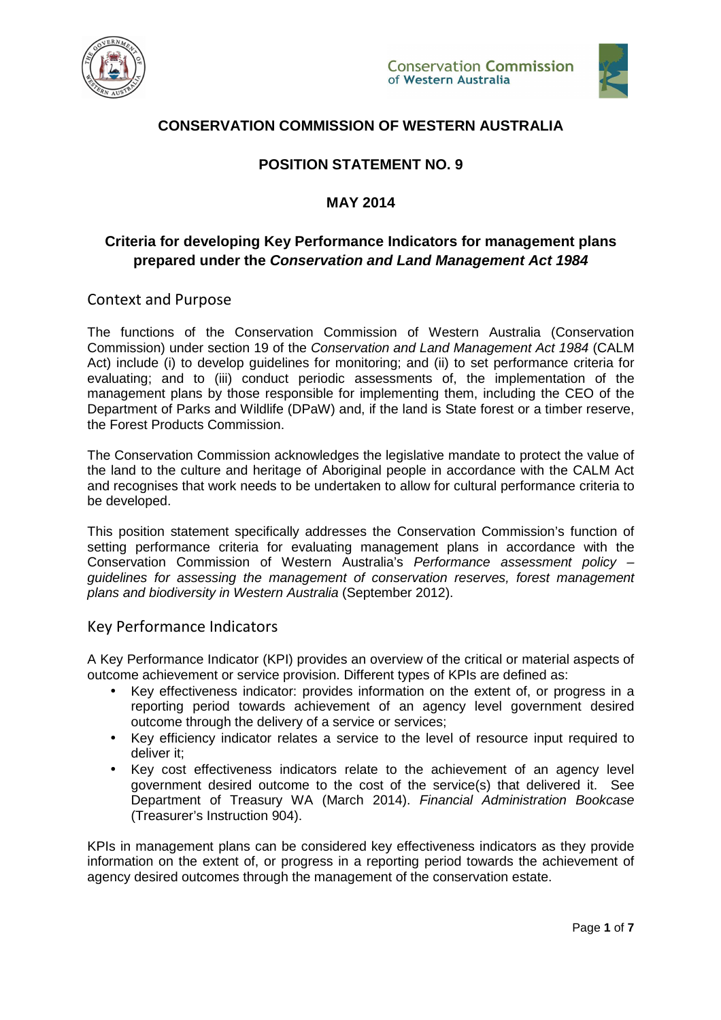



## **CONSERVATION COMMISSION OF WESTERN AUSTRALIA**

# **POSITION STATEMENT NO. 9**

### **MAY 2014**

### **Criteria for developing Key Performance Indicators for management plans prepared under the Conservation and Land Management Act 1984**

Context and Purpose

The functions of the Conservation Commission of Western Australia (Conservation Commission) under section 19 of the Conservation and Land Management Act 1984 (CALM Act) include (i) to develop guidelines for monitoring; and (ii) to set performance criteria for evaluating; and to (iii) conduct periodic assessments of, the implementation of the management plans by those responsible for implementing them, including the CEO of the Department of Parks and Wildlife (DPaW) and, if the land is State forest or a timber reserve, the Forest Products Commission.

The Conservation Commission acknowledges the legislative mandate to protect the value of the land to the culture and heritage of Aboriginal people in accordance with the CALM Act and recognises that work needs to be undertaken to allow for cultural performance criteria to be developed.

This position statement specifically addresses the Conservation Commission's function of setting performance criteria for evaluating management plans in accordance with the Conservation Commission of Western Australia's Performance assessment policy – guidelines for assessing the management of conservation reserves, forest management plans and biodiversity in Western Australia (September 2012).

#### Key Performance Indicators

A Key Performance Indicator (KPI) provides an overview of the critical or material aspects of outcome achievement or service provision. Different types of KPIs are defined as:

- Key effectiveness indicator: provides information on the extent of, or progress in a reporting period towards achievement of an agency level government desired outcome through the delivery of a service or services;
- Key efficiency indicator relates a service to the level of resource input required to deliver it;
- Key cost effectiveness indicators relate to the achievement of an agency level government desired outcome to the cost of the service(s) that delivered it. See Department of Treasury WA (March 2014). Financial Administration Bookcase (Treasurer's Instruction 904).

KPIs in management plans can be considered key effectiveness indicators as they provide information on the extent of, or progress in a reporting period towards the achievement of agency desired outcomes through the management of the conservation estate.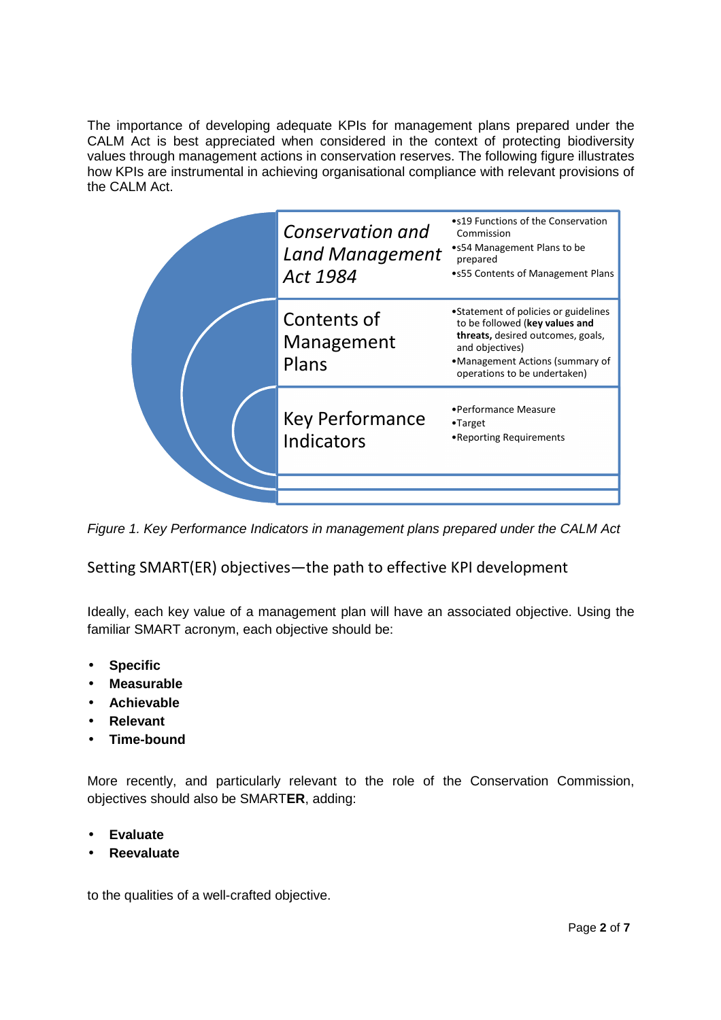The importance of developing adequate KPIs for management plans prepared under the CALM Act is best appreciated when considered in the context of protecting biodiversity values through management actions in conservation reserves. The following figure illustrates how KPIs are instrumental in achieving organisational compliance with relevant provisions of the CALM Act.

|  | Conservation and<br><b>Land Management</b><br>Act 1984 | •s19 Functions of the Conservation<br>Commission<br>•s54 Management Plans to be<br>prepared<br>•s55 Contents of Management Plans                                                                  |
|--|--------------------------------------------------------|---------------------------------------------------------------------------------------------------------------------------------------------------------------------------------------------------|
|  | Contents of<br>Management<br>Plans                     | •Statement of policies or guidelines<br>to be followed (key values and<br>threats, desired outcomes, goals,<br>and objectives)<br>•Management Actions (summary of<br>operations to be undertaken) |
|  | Key Performance<br>Indicators                          | •Performance Measure<br>$\bullet$ Target<br>•Reporting Requirements                                                                                                                               |
|  |                                                        |                                                                                                                                                                                                   |

Figure 1. Key Performance Indicators in management plans prepared under the CALM Act

Setting SMART(ER) objectives—the path to effective KPI development

Ideally, each key value of a management plan will have an associated objective. Using the familiar SMART acronym, each objective should be:

- **Specific**
- **Measurable**
- **Achievable**
- **Relevant**
- **Time-bound**

More recently, and particularly relevant to the role of the Conservation Commission, objectives should also be SMART**ER**, adding:

- **Evaluate**
- **Reevaluate**

to the qualities of a well-crafted objective.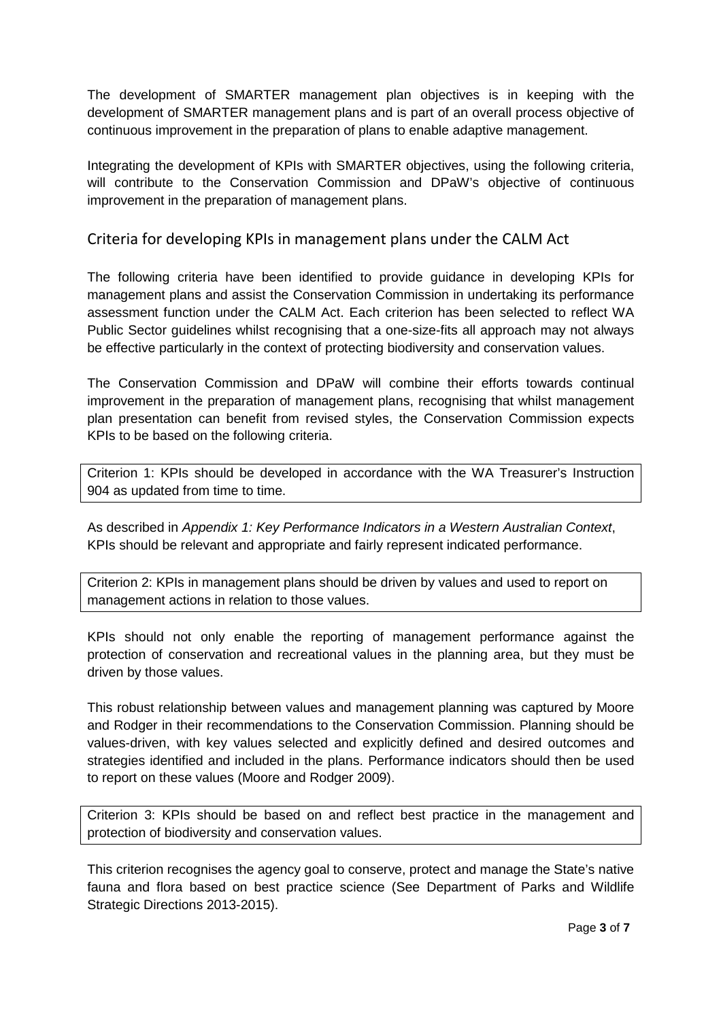The development of SMARTER management plan objectives is in keeping with the development of SMARTER management plans and is part of an overall process objective of continuous improvement in the preparation of plans to enable adaptive management.

Integrating the development of KPIs with SMARTER objectives, using the following criteria, will contribute to the Conservation Commission and DPaW's objective of continuous improvement in the preparation of management plans.

Criteria for developing KPIs in management plans under the CALM Act

The following criteria have been identified to provide guidance in developing KPIs for management plans and assist the Conservation Commission in undertaking its performance assessment function under the CALM Act. Each criterion has been selected to reflect WA Public Sector guidelines whilst recognising that a one-size-fits all approach may not always be effective particularly in the context of protecting biodiversity and conservation values.

The Conservation Commission and DPaW will combine their efforts towards continual improvement in the preparation of management plans, recognising that whilst management plan presentation can benefit from revised styles, the Conservation Commission expects KPIs to be based on the following criteria.

Criterion 1: KPIs should be developed in accordance with the WA Treasurer's Instruction 904 as updated from time to time.

As described in Appendix 1: Key Performance Indicators in a Western Australian Context, KPIs should be relevant and appropriate and fairly represent indicated performance.

Criterion 2: KPIs in management plans should be driven by values and used to report on management actions in relation to those values.

KPIs should not only enable the reporting of management performance against the protection of conservation and recreational values in the planning area, but they must be driven by those values.

This robust relationship between values and management planning was captured by Moore and Rodger in their recommendations to the Conservation Commission. Planning should be values-driven, with key values selected and explicitly defined and desired outcomes and strategies identified and included in the plans. Performance indicators should then be used to report on these values (Moore and Rodger 2009).

Criterion 3: KPIs should be based on and reflect best practice in the management and protection of biodiversity and conservation values.

This criterion recognises the agency goal to conserve, protect and manage the State's native fauna and flora based on best practice science (See Department of Parks and Wildlife Strategic Directions 2013-2015).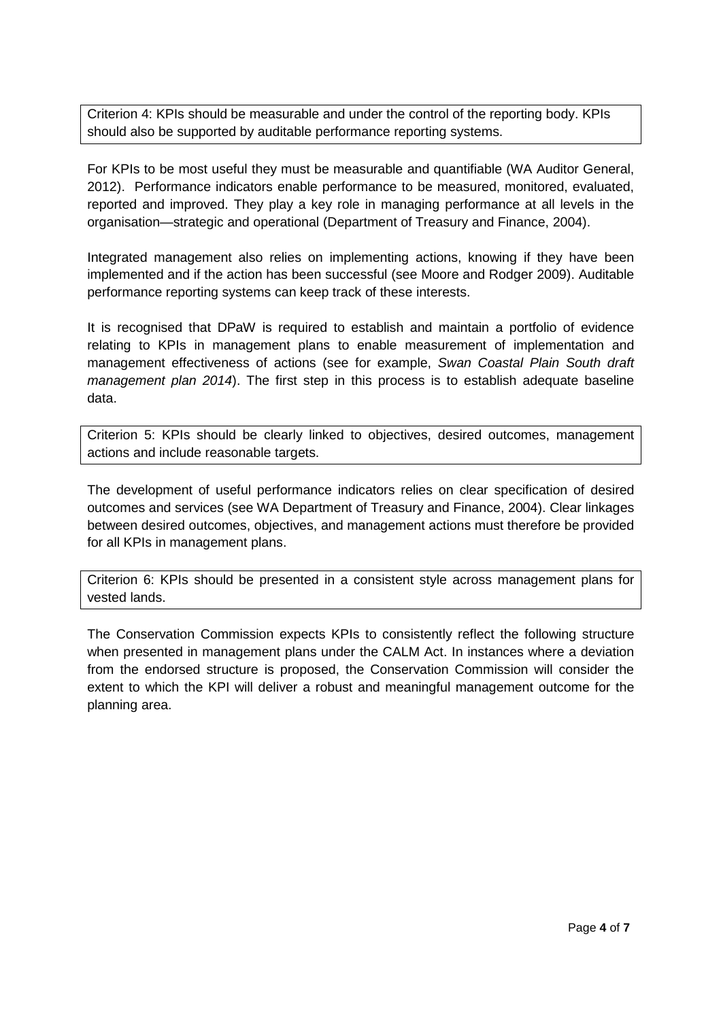Criterion 4: KPIs should be measurable and under the control of the reporting body. KPIs should also be supported by auditable performance reporting systems.

For KPIs to be most useful they must be measurable and quantifiable (WA Auditor General, 2012). Performance indicators enable performance to be measured, monitored, evaluated, reported and improved. They play a key role in managing performance at all levels in the organisation—strategic and operational (Department of Treasury and Finance, 2004).

Integrated management also relies on implementing actions, knowing if they have been implemented and if the action has been successful (see Moore and Rodger 2009). Auditable performance reporting systems can keep track of these interests.

It is recognised that DPaW is required to establish and maintain a portfolio of evidence relating to KPIs in management plans to enable measurement of implementation and management effectiveness of actions (see for example, Swan Coastal Plain South draft management plan 2014). The first step in this process is to establish adequate baseline data.

Criterion 5: KPIs should be clearly linked to objectives, desired outcomes, management actions and include reasonable targets.

The development of useful performance indicators relies on clear specification of desired outcomes and services (see WA Department of Treasury and Finance, 2004). Clear linkages between desired outcomes, objectives, and management actions must therefore be provided for all KPIs in management plans.

Criterion 6: KPIs should be presented in a consistent style across management plans for vested lands.

The Conservation Commission expects KPIs to consistently reflect the following structure when presented in management plans under the CALM Act. In instances where a deviation from the endorsed structure is proposed, the Conservation Commission will consider the extent to which the KPI will deliver a robust and meaningful management outcome for the planning area.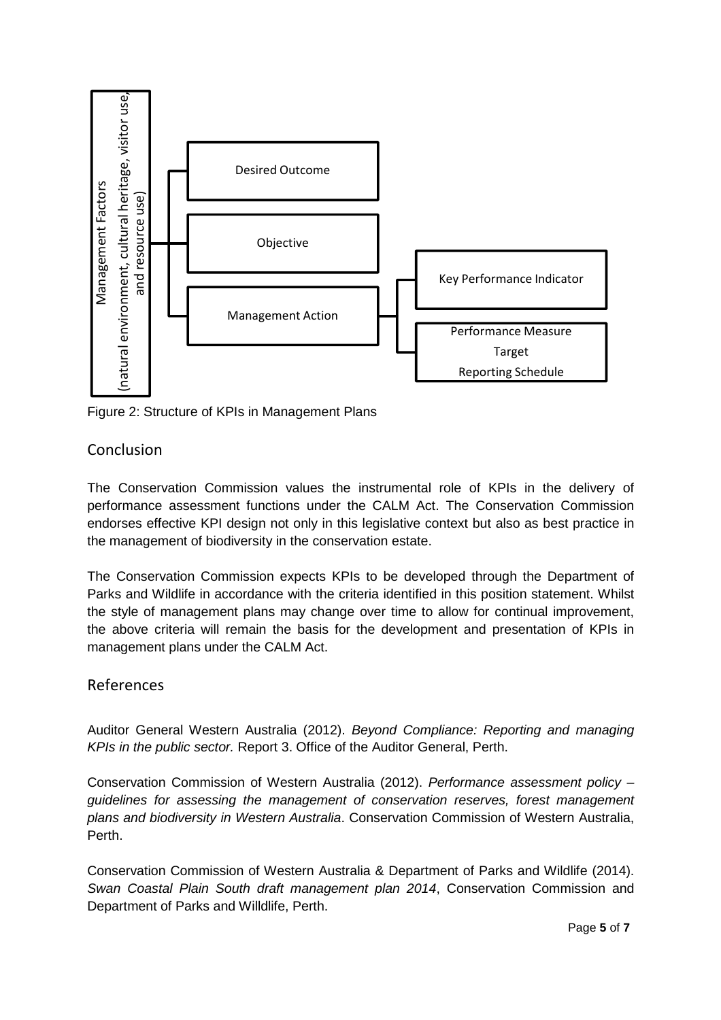

Figure 2: Structure of KPIs in Management Plans

## Conclusion

The Conservation Commission values the instrumental role of KPIs in the delivery of performance assessment functions under the CALM Act. The Conservation Commission endorses effective KPI design not only in this legislative context but also as best practice in the management of biodiversity in the conservation estate.

The Conservation Commission expects KPIs to be developed through the Department of Parks and Wildlife in accordance with the criteria identified in this position statement. Whilst the style of management plans may change over time to allow for continual improvement, the above criteria will remain the basis for the development and presentation of KPIs in management plans under the CALM Act.

### References

Auditor General Western Australia (2012). Beyond Compliance: Reporting and managing KPIs in the public sector. Report 3. Office of the Auditor General, Perth.

Conservation Commission of Western Australia (2012). Performance assessment policy – guidelines for assessing the management of conservation reserves, forest management plans and biodiversity in Western Australia. Conservation Commission of Western Australia, Perth.

Conservation Commission of Western Australia & Department of Parks and Wildlife (2014). Swan Coastal Plain South draft management plan 2014, Conservation Commission and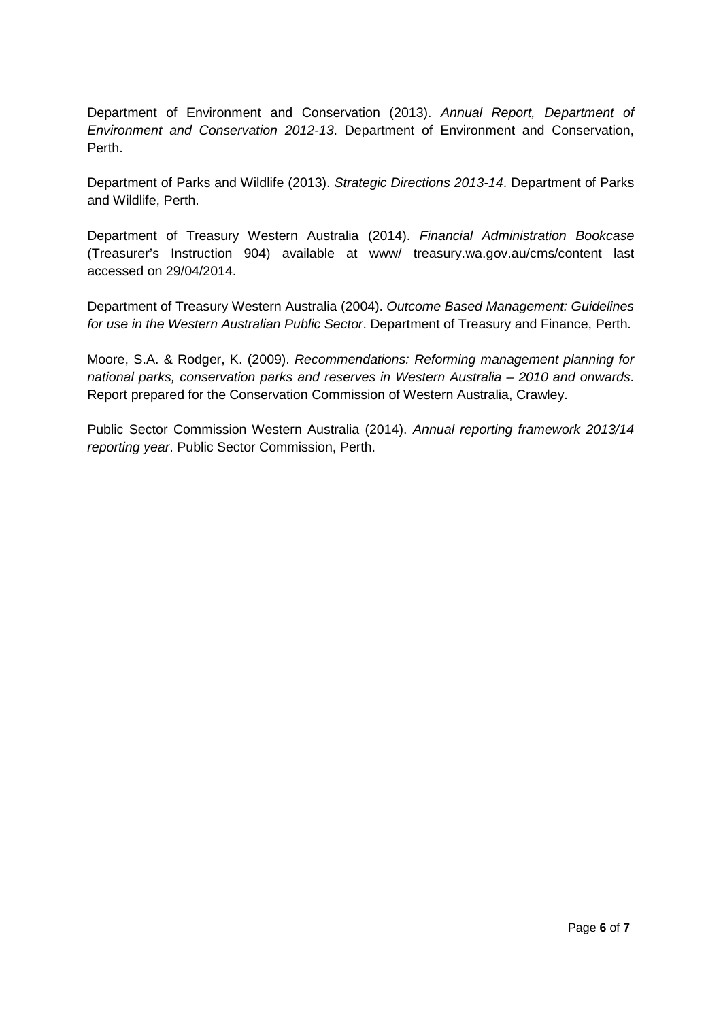Department of Environment and Conservation (2013). Annual Report, Department of Environment and Conservation 2012-13. Department of Environment and Conservation, Perth.

Department of Parks and Wildlife (2013). Strategic Directions 2013-14. Department of Parks and Wildlife, Perth.

Department of Treasury Western Australia (2014). Financial Administration Bookcase (Treasurer's Instruction 904) available at www/ treasury.wa.gov.au/cms/content last accessed on 29/04/2014.

Department of Treasury Western Australia (2004). Outcome Based Management: Guidelines for use in the Western Australian Public Sector. Department of Treasury and Finance, Perth.

Moore, S.A. & Rodger, K. (2009). Recommendations: Reforming management planning for national parks, conservation parks and reserves in Western Australia – 2010 and onwards. Report prepared for the Conservation Commission of Western Australia, Crawley.

Public Sector Commission Western Australia (2014). Annual reporting framework 2013/14 reporting year. Public Sector Commission, Perth.